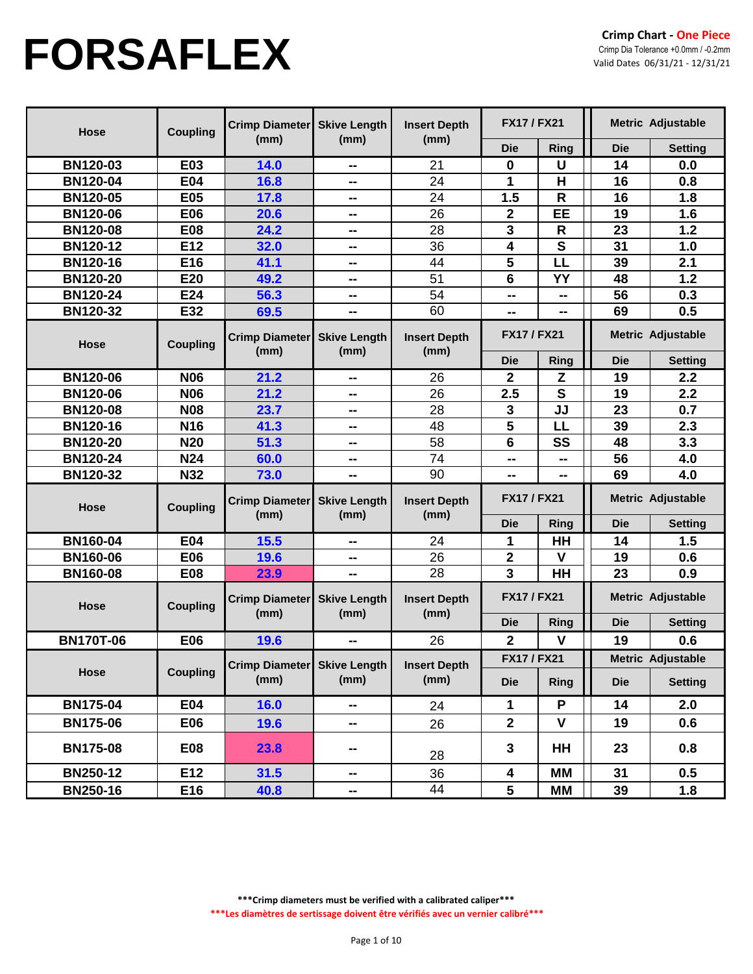| Hose             | <b>Coupling</b> | <b>Crimp Diameter</b>         | <b>Skive Length</b>         | <b>Insert Depth</b>         | <b>FX17 / FX21</b> |                         |                   | Metric Adjustable |
|------------------|-----------------|-------------------------------|-----------------------------|-----------------------------|--------------------|-------------------------|-------------------|-------------------|
|                  |                 | (mm)                          | (mm)                        | (mm)                        | <b>Die</b>         | <b>Ring</b>             | <b>Die</b>        | <b>Setting</b>    |
| <b>BN120-03</b>  | E03             | 14.0                          | --                          | 21                          | $\bf{0}$           | $\cup$                  | 14                | 0.0               |
| <b>BN120-04</b>  | E04             | 16.8                          | --                          | 24                          | 1                  | Н                       | 16                | 0.8               |
| <b>BN120-05</b>  | E05             | 17.8                          | --                          | 24                          | 1.5                | $\mathsf R$             | 16                | 1.8               |
| <b>BN120-06</b>  | E06             | 20.6                          | --                          | 26                          | $\mathbf 2$        | EE                      | 19                | 1.6               |
| <b>BN120-08</b>  | <b>E08</b>      | 24.2                          | --                          | 28                          | 3                  | $\mathsf{R}$            | 23                | 1.2               |
| <b>BN120-12</b>  | E12             | 32.0                          | --                          | 36                          | 4                  | S                       | 31                | 1.0               |
| <b>BN120-16</b>  | E16             | 41.1                          | --                          | 44                          | 5                  | LL                      | 39                | 2.1               |
| <b>BN120-20</b>  | E20             | 49.2                          | --                          | 51                          | 6                  | YY                      | 48                | 1.2               |
| <b>BN120-24</b>  | E24             | 56.3                          | --                          | 54                          | --                 | --                      | 56                | 0.3               |
| <b>BN120-32</b>  | E32             | 69.5                          | --                          | 60                          | --                 |                         | 69                | 0.5               |
| Hose             | <b>Coupling</b> | <b>Crimp Diameter</b><br>(mm) | <b>Skive Length</b><br>(mm) | <b>Insert Depth</b>         | <b>FX17 / FX21</b> |                         | Metric Adjustable |                   |
|                  |                 |                               |                             | (mm)                        | <b>Die</b>         | Ring                    | <b>Die</b>        | <b>Setting</b>    |
| <b>BN120-06</b>  | <b>N06</b>      | 21.2                          | --                          | 26                          | $\mathbf 2$        | Z                       | 19                | 2.2               |
| <b>BN120-06</b>  | <b>N06</b>      | 21.2                          | --                          | 26                          | 2.5                | $\overline{\mathbf{s}}$ | 19                | 2.2               |
| <b>BN120-08</b>  | <b>N08</b>      | 23.7                          | --                          | 28                          | 3                  | JJ                      | 23                | 0.7               |
| <b>BN120-16</b>  | <b>N16</b>      | 41.3                          | --                          | 48                          | 5                  | LL                      | 39                | 2.3               |
| <b>BN120-20</b>  | <b>N20</b>      | 51.3                          | $\sim$                      | 58                          | 6                  | SS                      | 48                | 3.3               |
| <b>BN120-24</b>  | <b>N24</b>      | 60.0                          | $\sim$                      | 74                          | --                 | --                      | 56                | 4.0               |
| <b>BN120-32</b>  | <b>N32</b>      | 73.0                          | --                          | 90                          | --                 | --                      | 69                | 4.0               |
| Hose             | <b>Coupling</b> | <b>Crimp Diameter</b><br>(mm) | <b>Skive Length</b><br>(mm) | <b>Insert Depth</b><br>(mm) | <b>FX17 / FX21</b> |                         |                   | Metric Adjustable |
|                  |                 |                               |                             |                             | <b>Die</b>         | <b>Ring</b>             | <b>Die</b>        | <b>Setting</b>    |
| <b>BN160-04</b>  | <b>E04</b>      | 15.5                          | --                          | 24                          | 1                  | HH                      | 14                | 1.5               |
| <b>BN160-06</b>  | E06             | 19.6                          | --                          | 26                          | $\mathbf 2$        | $\mathsf{V}$            | 19                | 0.6               |
| <b>BN160-08</b>  | <b>E08</b>      | 23.9                          | --                          | 28                          | 3                  | <b>HH</b>               | 23                | 0.9               |
| Hose             | <b>Coupling</b> | <b>Crimp Diameter</b>         | <b>Skive Length</b>         | <b>Insert Depth</b>         | <b>FX17 / FX21</b> |                         |                   | Metric Adjustable |
|                  |                 | (mm)                          | (mm)                        | (mm)                        | <b>Die</b>         | Ring                    | <b>Die</b>        | <b>Setting</b>    |
| <b>BN170T-06</b> | E06             | 19.6                          | --                          | 26                          | $\mathbf{2}$       | $\mathsf{V}$            | 19                | 0.6               |
|                  |                 | Crimp Diameter Skive Length   |                             | <b>Insert Depth</b>         | <b>FX17 / FX21</b> |                         |                   | Metric Adjustable |
| Hose             | <b>Coupling</b> | (mm)                          | (mm)                        | (mm)                        | <b>Die</b>         | <b>Ring</b>             | <b>Die</b>        | <b>Setting</b>    |
| <b>BN175-04</b>  | <b>E04</b>      | <b>16.0</b>                   | н.                          | 24                          | 1                  | P                       | 14                | 2.0               |
| <b>BN175-06</b>  | E06             | 19.6                          | ш.                          | 26                          | $\overline{2}$     | $\mathbf v$             | 19                | 0.6               |
| <b>BN175-08</b>  | E08             | 23.8                          | --                          | 28                          | $\mathbf{3}$       | HH                      | 23                | 0.8               |
| <b>BN250-12</b>  | E12             | 31.5                          | н.                          | 36                          | 4                  | MМ                      | 31                | 0.5               |
| <b>BN250-16</b>  | E16             | 40.8                          | -−                          | 44                          | 5                  | MM                      | 39                | 1.8               |

**\*\*\*Crimp diameters must be verified with a calibrated caliper\*\*\***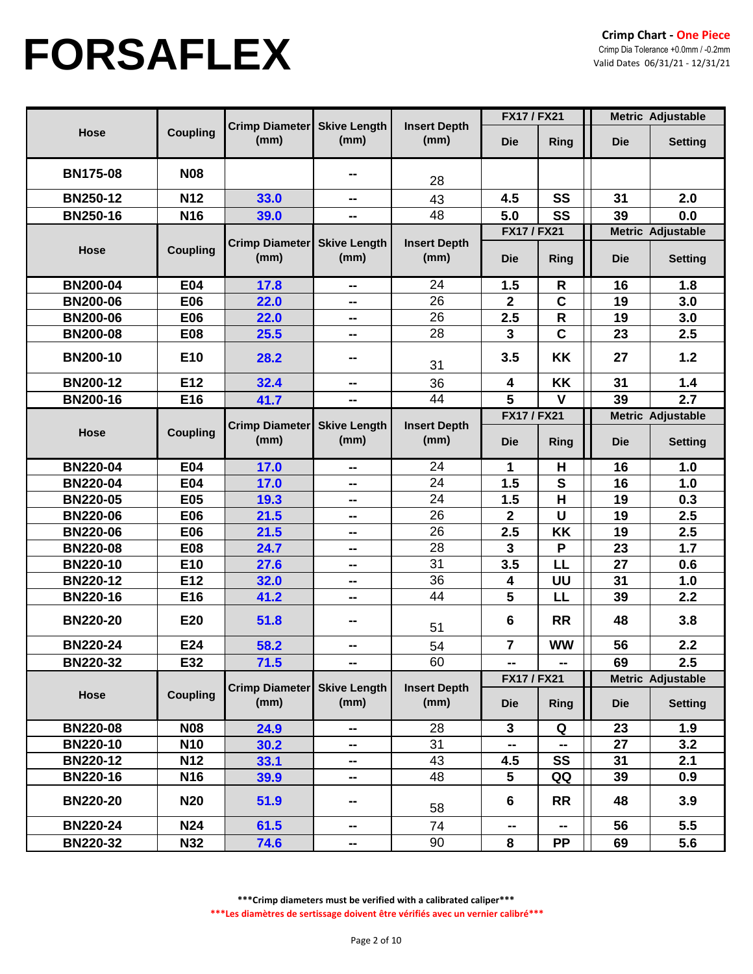|                 |                 |                                     |                             |                             | <b>FX17 / FX21</b>               |              | <b>Metric Adjustable</b> |                                            |
|-----------------|-----------------|-------------------------------------|-----------------------------|-----------------------------|----------------------------------|--------------|--------------------------|--------------------------------------------|
| Hose            | <b>Coupling</b> | Crimp Diameter<br>(mm)              | <b>Skive Length</b><br>(mm) | <b>Insert Depth</b><br>(mm) | <b>Die</b>                       | <b>Ring</b>  | <b>Die</b>               | <b>Setting</b>                             |
| <b>BN175-08</b> | <b>N08</b>      |                                     | ⊷                           | 28                          |                                  |              |                          |                                            |
| <b>BN250-12</b> | <b>N12</b>      | 33.0                                | $\sim$ $\sim$               | 43                          | 4.5                              | SS           | 31                       | 2.0                                        |
| <b>BN250-16</b> | N <sub>16</sub> | 39.0                                | --                          | 48                          | 5.0                              | SS           | 39                       | 0.0                                        |
| Hose            | <b>Coupling</b> | Crimp Diameter Skive Length<br>(mm) | (mm)                        | <b>Insert Depth</b><br>(mm) | <b>FX17 / FX21</b><br><b>Die</b> | <b>Ring</b>  | <b>Die</b>               | <b>Metric Adjustable</b><br><b>Setting</b> |
| <b>BN200-04</b> | E04             | 17.8                                | --                          | 24                          | 1.5                              | R            | 16                       | 1.8                                        |
| <b>BN200-06</b> | E06             | 22.0                                | --                          | 26                          | $\mathbf 2$                      | $\mathbf C$  | 19                       | 3.0                                        |
| <b>BN200-06</b> | <b>E06</b>      | 22.0                                | --                          | 26                          | 2.5                              | $\mathsf{R}$ | 19                       | 3.0                                        |
| <b>BN200-08</b> | <b>E08</b>      | 25.5                                | ⊷                           | 28                          | 3                                | $\mathbf c$  | 23                       | 2.5                                        |
| <b>BN200-10</b> | E <sub>10</sub> | 28.2                                | ⊷                           | 31                          | 3.5                              | <b>KK</b>    | 27                       | 1.2                                        |
| <b>BN200-12</b> | E12             | 32.4                                | --                          | 36                          | 4                                | KK           | 31                       | 1.4                                        |
| <b>BN200-16</b> | E16             | 41.7                                | --                          | 44                          | 5                                | $\mathbf v$  | 39                       | 2.7                                        |
|                 |                 |                                     |                             |                             | <b>FX17 / FX21</b>               |              | Metric Adjustable        |                                            |
| Hose            | <b>Coupling</b> | <b>Crimp Diameter</b><br>(mm)       | <b>Skive Length</b><br>(mm) | <b>Insert Depth</b><br>(mm) | <b>Die</b>                       | <b>Ring</b>  | <b>Die</b>               | <b>Setting</b>                             |
| <b>BN220-04</b> | <b>E04</b>      | 17.0                                | --                          | 24                          | 1                                | H            | 16                       | 1.0                                        |
| <b>BN220-04</b> | E04             | 17.0                                | $\sim$ $\sim$               | 24                          | 1.5                              | $\mathbf s$  | 16                       | 1.0                                        |
| <b>BN220-05</b> | <b>E05</b>      | 19.3                                | --                          | 24                          | 1.5                              | H            | 19                       | 0.3                                        |
| <b>BN220-06</b> | <b>E06</b>      | 21.5                                | $\sim$ $\sim$               | 26                          | $\mathbf 2$                      | U            | 19                       | 2.5                                        |
| <b>BN220-06</b> | <b>E06</b>      | 21.5                                | $\sim$ $\sim$               | 26                          | 2.5                              | KK           | 19                       | 2.5                                        |
| <b>BN220-08</b> | <b>E08</b>      | 24.7                                | --                          | 28                          | 3                                | P            | 23                       | $1.7$                                      |
| <b>BN220-10</b> | E10             | 27.6                                | $\sim$ $\sim$               | 31                          | 3.5                              | LL           | 27                       | 0.6                                        |
| <b>BN220-12</b> | E12             | 32.0                                | н.                          | 36                          | 4                                | UU           | 31                       | 1.0                                        |
| <b>BN220-16</b> | E16             | 41.2                                | --                          | 44                          | 5                                | LL           | 39                       | 2.2                                        |
| <b>BN220-20</b> | E20             | 51.8                                | ⊷                           | 51                          | 6                                | <b>RR</b>    | 48                       | 3.8                                        |
| <b>BN220-24</b> | E24             | 58.2                                | --                          | 54                          | $\overline{7}$                   | <b>WW</b>    | 56                       | 2.2                                        |
| <b>BN220-32</b> | E32             | 71.5                                | --                          | 60                          | $\sim$                           | н.           | 69                       | 2.5                                        |
|                 |                 |                                     |                             |                             | <b>FX17 / FX21</b>               |              |                          | Metric Adjustable                          |
| <b>Hose</b>     | <b>Coupling</b> | Crimp Diameter Skive Length<br>(mm) | (mm)                        | <b>Insert Depth</b><br>(mm) | <b>Die</b>                       | Ring         | <b>Die</b>               | <b>Setting</b>                             |
| <b>BN220-08</b> | <b>N08</b>      | 24.9                                | ⊷                           | 28                          | $\mathbf{3}$                     | Q            | 23                       | 1.9                                        |
| <b>BN220-10</b> | <b>N10</b>      | 30.2                                | н.                          | 31                          | -−                               | -−           | 27                       | 3.2                                        |
| <b>BN220-12</b> | <b>N12</b>      | 33.1                                | н.                          | 43                          | 4.5                              | <b>SS</b>    | 31                       | 2.1                                        |
| <b>BN220-16</b> | N <sub>16</sub> | 39.9                                | --                          | 48                          | 5                                | QQ           | 39                       | 0.9                                        |
| <b>BN220-20</b> | <b>N20</b>      | 51.9                                | --                          | 58                          | $6\phantom{1}6$                  | <b>RR</b>    | 48                       | 3.9                                        |
| <b>BN220-24</b> | <b>N24</b>      | 61.5                                | --                          | 74                          | --                               | ⊷            | 56                       | 5.5                                        |
| <b>BN220-32</b> | <b>N32</b>      | 74.6                                | ж.                          | 90                          | 8                                | <b>PP</b>    | 69                       | 5.6                                        |

**\*\*\*Crimp diameters must be verified with a calibrated caliper\*\*\***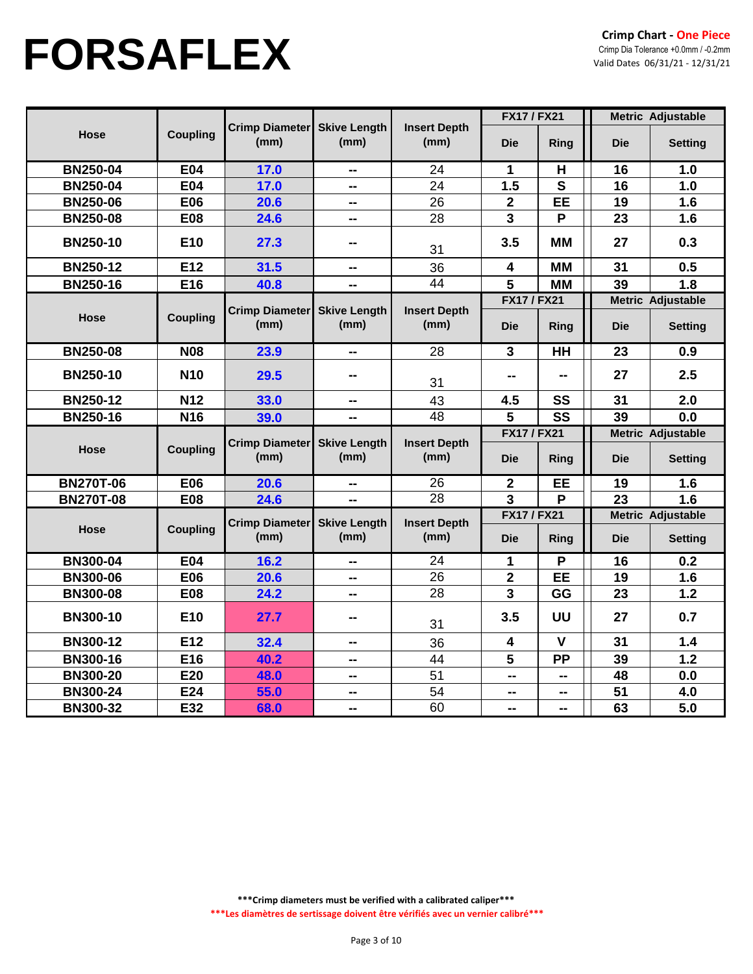|                  |                 |                               |                             |                             | <b>FX17 / FX21</b>               |                         |            | <b>Metric Adjustable</b>            |
|------------------|-----------------|-------------------------------|-----------------------------|-----------------------------|----------------------------------|-------------------------|------------|-------------------------------------|
| <b>Hose</b>      | <b>Coupling</b> | <b>Crimp Diameter</b><br>(mm) | <b>Skive Length</b><br>(mm) | <b>Insert Depth</b><br>(mm) | <b>Die</b>                       | <b>Ring</b>             | <b>Die</b> | <b>Setting</b>                      |
| <b>BN250-04</b>  | <b>E04</b>      | 17.0                          | --                          | 24                          | $\mathbf 1$                      | H                       | 16         | 1.0                                 |
| <b>BN250-04</b>  | <b>E04</b>      | 17.0                          | --                          | 24                          | 1.5                              | $\mathbf{s}$            | 16         | 1.0                                 |
| <b>BN250-06</b>  | <b>E06</b>      | 20.6                          | --                          | 26                          | $\overline{2}$                   | <b>EE</b>               | 19         | 1.6                                 |
| <b>BN250-08</b>  | <b>E08</b>      | 24.6                          | --                          | 28                          | 3                                | P                       | 23         | 1.6                                 |
| <b>BN250-10</b>  | E <sub>10</sub> | 27.3                          | --                          | 31                          | 3.5                              | <b>MM</b>               | 27         | 0.3                                 |
| <b>BN250-12</b>  | E12             | 31.5                          | --                          | 36                          | $\overline{\mathbf{4}}$          | <b>MM</b>               | 31         | 0.5                                 |
| <b>BN250-16</b>  | E16             | 40.8                          | --                          | 44                          | 5                                | <b>MM</b>               | 39         | 1.8                                 |
|                  |                 |                               |                             |                             | <b>FX17 / FX21</b>               |                         |            | Metric Adjustable                   |
| <b>Hose</b>      | <b>Coupling</b> | <b>Crimp Diameter</b><br>(mm) | <b>Skive Length</b><br>(mm) | <b>Insert Depth</b><br>(mm) | <b>Die</b>                       | Ring                    | <b>Die</b> | <b>Setting</b>                      |
| <b>BN250-08</b>  | <b>N08</b>      | 23.9                          | --                          | 28                          | $\mathbf{3}$                     | HH                      | 23         | 0.9                                 |
| <b>BN250-10</b>  | <b>N10</b>      | 29.5                          | --                          | 31                          |                                  | --                      | 27         | 2.5                                 |
| <b>BN250-12</b>  | <b>N12</b>      | 33.0                          | --                          | 43                          | 4.5                              | SS                      | 31         | 2.0                                 |
| <b>BN250-16</b>  | N <sub>16</sub> | 39.0                          | $\sim$                      | 48                          | 5                                | SS                      | 39         | 0.0                                 |
|                  |                 |                               |                             |                             | <b>FX17 / FX21</b>               |                         |            | Metric Adjustable                   |
| <b>Hose</b>      | <b>Coupling</b> | <b>Crimp Diameter</b><br>(mm) | <b>Skive Length</b><br>(mm) | <b>Insert Depth</b><br>(mm) | <b>Die</b>                       | Ring                    | <b>Die</b> | <b>Setting</b>                      |
| <b>BN270T-06</b> | <b>E06</b>      | 20.6                          | $\mathbf{u}$                | 26                          | $\boldsymbol{2}$                 | <b>EE</b>               | 19         | 1.6                                 |
| <b>BN270T-08</b> | <b>E08</b>      | 24.6                          | --                          | $\overline{28}$             | $\overline{3}$                   | P                       | 23         | 1.6                                 |
| <b>Hose</b>      | <b>Coupling</b> | <b>Crimp Diameter</b><br>(mm) | <b>Skive Length</b><br>(mm) | <b>Insert Depth</b><br>(mm) | <b>FX17 / FX21</b><br><b>Die</b> | Ring                    | <b>Die</b> | Metric Adjustable<br><b>Setting</b> |
|                  |                 |                               |                             |                             |                                  |                         |            |                                     |
| <b>BN300-04</b>  | <b>E04</b>      | 16.2                          | --                          | 24                          | $\mathbf 1$                      | $\overline{\mathsf{P}}$ | 16         | 0.2                                 |
| <b>BN300-06</b>  | <b>E06</b>      | 20.6                          | --                          | 26                          | $\overline{\mathbf{2}}$          | EE                      | 19         | 1.6                                 |
| <b>BN300-08</b>  | <b>E08</b>      | 24.2                          | --                          | 28                          | 3                                | GG                      | 23         | 1.2                                 |
| <b>BN300-10</b>  | E10             | 27.7                          | --                          | 31                          | 3.5                              | UU                      | 27         | 0.7                                 |
| <b>BN300-12</b>  | E12             | 32.4                          | --                          | 36                          | $\overline{\mathbf{4}}$          | $\mathbf v$             | 31         | 1.4                                 |
| <b>BN300-16</b>  | E16             | 40.2                          | --                          | 44                          | 5                                | <b>PP</b>               | 39         | 1.2                                 |
| <b>BN300-20</b>  | E20             | 48.0                          | --                          | 51                          | --                               | --                      | 48         | 0.0                                 |
| <b>BN300-24</b>  | E24             | 55.0                          | --                          | 54                          | --                               | --                      | 51         | 4.0                                 |
| <b>BN300-32</b>  | E32             | 68.0                          | --                          | 60                          | --                               | --                      | 63         | 5.0                                 |

**\*\*\*Crimp diameters must be verified with a calibrated caliper\*\*\***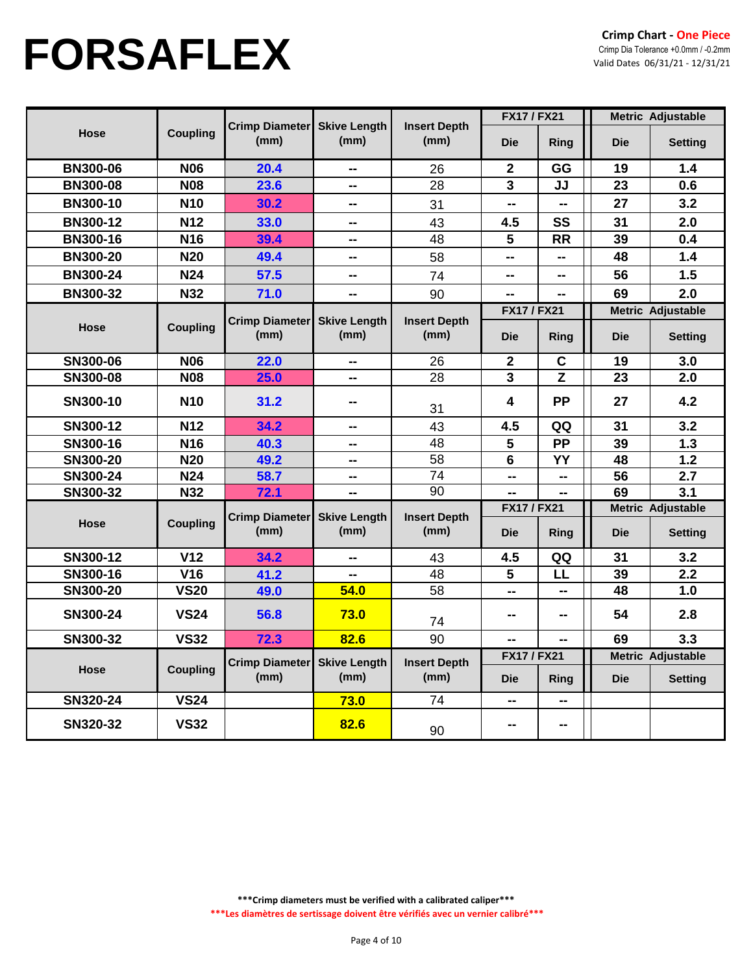|                 |                 |                               |                             |                             | <b>FX17 / FX21</b> |             | <b>Metric Adjustable</b> |                          |
|-----------------|-----------------|-------------------------------|-----------------------------|-----------------------------|--------------------|-------------|--------------------------|--------------------------|
| <b>Hose</b>     | <b>Coupling</b> | <b>Crimp Diameter</b><br>(mm) | <b>Skive Length</b><br>(mm) | <b>Insert Depth</b><br>(mm) | <b>Die</b>         | Ring        | <b>Die</b>               | <b>Setting</b>           |
| <b>BN300-06</b> | <b>N06</b>      | 20.4                          | --                          | 26                          | $\mathbf{2}$       | GG          | 19                       | 1.4                      |
| <b>BN300-08</b> | <b>N08</b>      | 23.6                          | --                          | 28                          | 3                  | JJ          | 23                       | 0.6                      |
| <b>BN300-10</b> | <b>N10</b>      | 30.2                          | н.                          | 31                          | --                 | --          | 27                       | 3.2                      |
| <b>BN300-12</b> | <b>N12</b>      | 33.0                          | н.                          | 43                          | 4.5                | SS          | 31                       | 2.0                      |
| <b>BN300-16</b> | <b>N16</b>      | 39.4                          | --                          | 48                          | 5                  | <b>RR</b>   | 39                       | 0.4                      |
| <b>BN300-20</b> | <b>N20</b>      | 49.4                          | --                          | 58                          | --                 | --          | 48                       | 1.4                      |
| <b>BN300-24</b> | <b>N24</b>      | 57.5                          | --                          | 74                          | --                 | --          | 56                       | 1.5                      |
| <b>BN300-32</b> | <b>N32</b>      | 71.0                          | $\overline{a}$              | 90                          | --                 | --          | 69                       | 2.0                      |
|                 |                 |                               |                             |                             | <b>FX17 / FX21</b> |             |                          | Metric Adjustable        |
| <b>Hose</b>     | <b>Coupling</b> | <b>Crimp Diameter</b><br>(mm) | <b>Skive Length</b><br>(mm) | <b>Insert Depth</b><br>(mm) | <b>Die</b>         | Ring        | <b>Die</b>               | <b>Setting</b>           |
| SN300-06        | <b>N06</b>      | 22.0                          | --                          | 26                          | $\mathbf{2}$       | $\mathbf C$ | 19                       | 3.0                      |
| SN300-08        | <b>N08</b>      | 25.0                          | --                          | 28                          | 3                  | Z           | 23                       | 2.0                      |
| SN300-10        | <b>N10</b>      | 31.2                          | --                          | 31                          | 4                  | <b>PP</b>   | 27                       | 4.2                      |
| SN300-12        | <b>N12</b>      | 34.2                          | --                          | 43                          | 4.5                | QQ          | 31                       | 3.2                      |
| SN300-16        | N <sub>16</sub> | 40.3                          | --                          | 48                          | 5                  | <b>PP</b>   | 39                       | 1.3                      |
| SN300-20        | <b>N20</b>      | 49.2                          | --                          | 58                          | $6\phantom{1}$     | YY          | 48                       | $1.2$                    |
| SN300-24        | <b>N24</b>      | 58.7                          | $\overline{a}$              | 74                          | --                 | --          | 56                       | 2.7                      |
| SN300-32        | <b>N32</b>      | 72.1                          | --                          | 90                          | --                 |             | 69                       | 3.1                      |
|                 |                 | <b>Crimp Diameter</b>         | <b>Skive Length</b>         | <b>Insert Depth</b>         | <b>FX17 / FX21</b> |             |                          | Metric Adjustable        |
| <b>Hose</b>     | <b>Coupling</b> | (mm)                          | (mm)                        | (mm)                        | <b>Die</b>         | Ring        | <b>Die</b>               | <b>Setting</b>           |
| SN300-12        | V <sub>12</sub> | 34.2                          | --                          | 43                          | 4.5                | QQ          | 31                       | 3.2                      |
| SN300-16        | <b>V16</b>      | 41.2                          | --                          | 48                          | 5                  | LL          | 39                       | 2.2                      |
| SN300-20        | <b>VS20</b>     | 49.0                          | 54.0                        | 58                          | --                 | --          | 48                       | 1.0                      |
| SN300-24        | <b>VS24</b>     | 56.8                          | 73.0                        | 74                          |                    | --          | 54                       | 2.8                      |
| SN300-32        | <b>VS32</b>     | 72.3                          | 82.6                        | 90                          | ۵.                 | --          | 69                       | 3.3                      |
|                 |                 | <b>Crimp Diameter</b>         | <b>Skive Length</b>         | <b>Insert Depth</b>         | <b>FX17 / FX21</b> |             |                          | <b>Metric Adjustable</b> |
| <b>Hose</b>     | <b>Coupling</b> | (mm)                          | (mm)                        | (mm)                        | <b>Die</b>         | Ring        | <b>Die</b>               | <b>Setting</b>           |
| SN320-24        | <b>VS24</b>     |                               | 73.0                        | 74                          | --                 | --          |                          |                          |
| SN320-32        | <b>VS32</b>     |                               | 82.6                        | 90                          | --                 | --          |                          |                          |

**\*\*\*Crimp diameters must be verified with a calibrated caliper\*\*\* \*\*\*Les diamètres de sertissage doivent être vérifiés avec un vernier calibré\*\*\***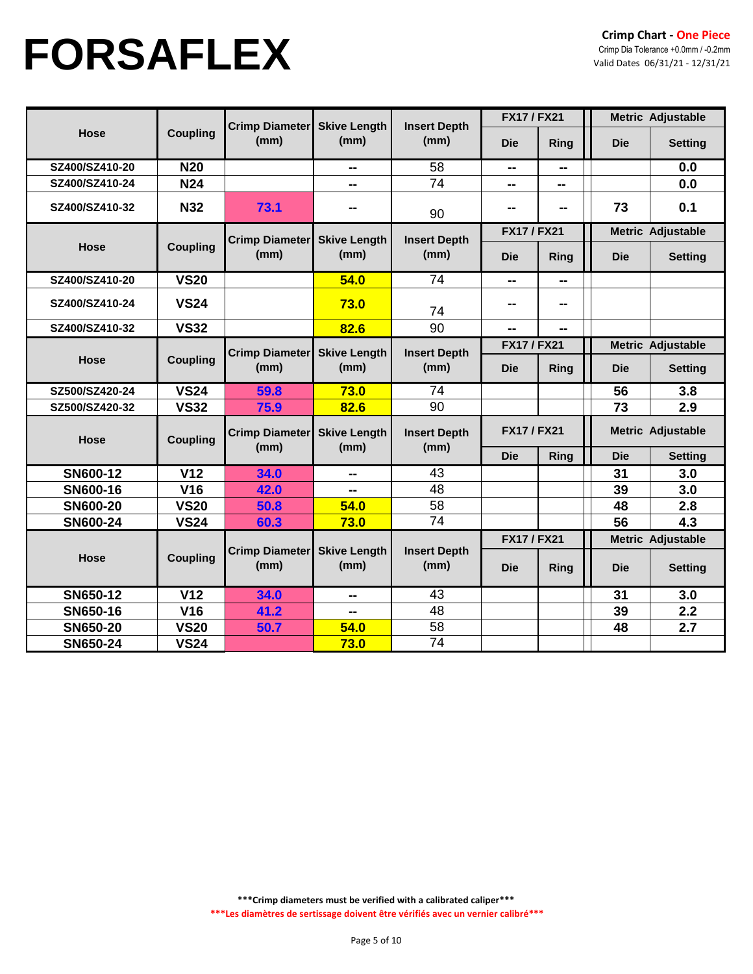|                 |                 |                               |                             |                             | <b>FX17 / FX21</b> |             | <b>Metric Adjustable</b> |                          |  |
|-----------------|-----------------|-------------------------------|-----------------------------|-----------------------------|--------------------|-------------|--------------------------|--------------------------|--|
| <b>Hose</b>     | <b>Coupling</b> | Crimp Diameter<br>(mm)        | <b>Skive Length</b><br>(mm) | <b>Insert Depth</b><br>(mm) | <b>Die</b>         | Ring        | <b>Die</b>               | <b>Setting</b>           |  |
| SZ400/SZ410-20  | <b>N20</b>      |                               | --                          | 58                          | --                 | --          |                          | 0.0                      |  |
| SZ400/SZ410-24  | <b>N24</b>      |                               | --                          | 74                          | --                 | --          |                          | 0.0                      |  |
| SZ400/SZ410-32  | <b>N32</b>      | 73.1                          | --                          | 90                          |                    | --          | 73                       | 0.1                      |  |
|                 |                 | <b>Crimp Diameter</b>         | <b>Skive Length</b>         | <b>Insert Depth</b>         | <b>FX17 / FX21</b> |             |                          | <b>Metric Adjustable</b> |  |
| <b>Hose</b>     | <b>Coupling</b> | (mm)                          | (mm)                        | (mm)                        | <b>Die</b>         | <b>Ring</b> | <b>Die</b>               | <b>Setting</b>           |  |
| SZ400/SZ410-20  | <b>VS20</b>     |                               | 54.0                        | 74                          | --                 | --          |                          |                          |  |
| SZ400/SZ410-24  | <b>VS24</b>     |                               | 73.0                        | 74                          |                    | --          |                          |                          |  |
| SZ400/SZ410-32  | <b>VS32</b>     |                               | 82.6                        | 90                          | $\sim$             | --          |                          |                          |  |
| Hose            | <b>Coupling</b> | <b>Crimp Diameter</b>         | <b>Skive Length</b>         | <b>Insert Depth</b>         | <b>FX17 / FX21</b> |             |                          | <b>Metric Adjustable</b> |  |
|                 |                 | (mm)                          | (mm)                        | (mm)                        | <b>Die</b>         | Ring        | <b>Die</b>               | <b>Setting</b>           |  |
| SZ500/SZ420-24  | <b>VS24</b>     | 59.8                          | 73.0                        | 74                          |                    |             | 56                       | 3.8                      |  |
| SZ500/SZ420-32  | <b>VS32</b>     | 75.9                          | 82.6                        | 90                          |                    |             | 73                       | 2.9                      |  |
| <b>Hose</b>     | <b>Coupling</b> | <b>Crimp Diameter</b><br>(mm) | <b>Skive Length</b><br>(mm) | <b>Insert Depth</b><br>(mm) | <b>FX17 / FX21</b> |             | Metric Adjustable        |                          |  |
|                 |                 |                               |                             |                             | <b>Die</b>         | <b>Ring</b> | <b>Die</b>               | <b>Setting</b>           |  |
| SN600-12        | V <sub>12</sub> | 34.0                          | --                          | 43                          |                    |             | 31                       | 3.0                      |  |
| SN600-16        | <b>V16</b>      | 42.0                          | --                          | 48                          |                    |             | 39                       | 3.0                      |  |
| <b>SN600-20</b> | <b>VS20</b>     | 50.8                          | 54.0                        | 58                          |                    |             | 48                       | 2.8                      |  |
| <b>SN600-24</b> | <b>VS24</b>     | 60.3                          | 73.0                        | 74                          |                    |             | 56                       | 4.3                      |  |
|                 |                 |                               |                             |                             | <b>FX17 / FX21</b> |             |                          | Metric Adjustable        |  |
| Hose            | <b>Coupling</b> | Crimp Diameter<br>(mm)        | <b>Skive Length</b><br>(mm) | <b>Insert Depth</b><br>(mm) | <b>Die</b>         | Ring        | <b>Die</b>               | <b>Setting</b>           |  |
| SN650-12        | V <sub>12</sub> | 34.0                          | --                          | 43                          |                    |             | 31                       | 3.0                      |  |
| SN650-16        | <b>V16</b>      | 41.2                          | --                          | 48                          |                    |             | 39                       | 2.2                      |  |
| SN650-20        | <b>VS20</b>     | 50.7                          | 54.0                        | 58                          |                    |             | 48                       | 2.7                      |  |
| SN650-24        | <b>VS24</b>     |                               | 73.0                        | 74                          |                    |             |                          |                          |  |

**\*\*\*Crimp diameters must be verified with a calibrated caliper\*\*\* \*\*\*Les diamètres de sertissage doivent être vérifiés avec un vernier calibré\*\*\***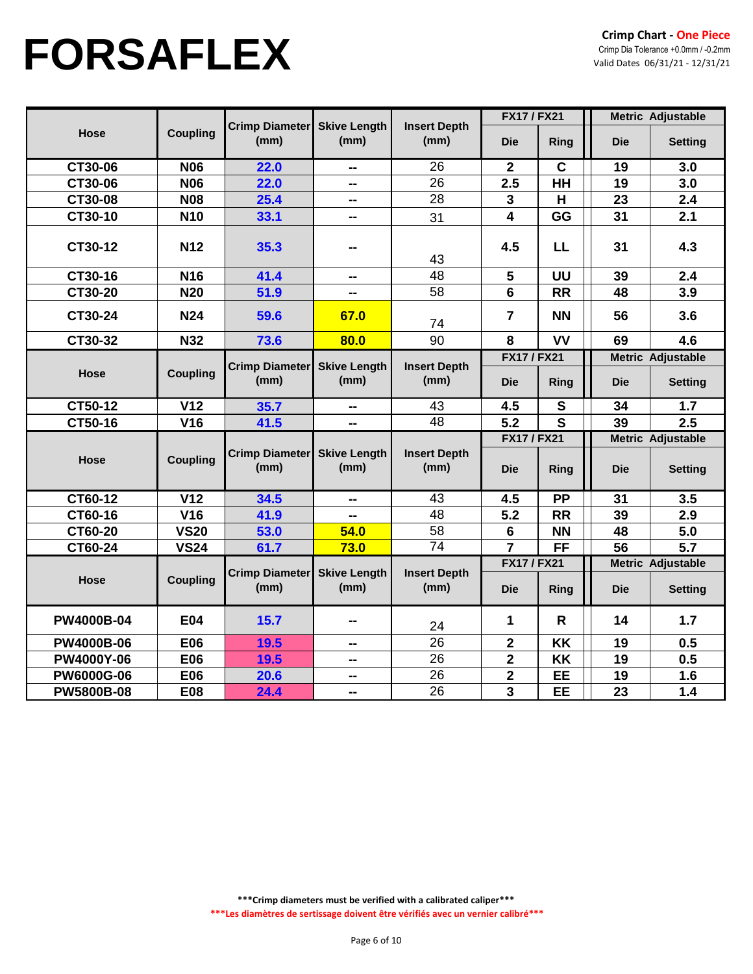|                   |                 |                               |                             |                             | <b>FX17 / FX21</b>      |              |            | <b>Metric Adjustable</b> |
|-------------------|-----------------|-------------------------------|-----------------------------|-----------------------------|-------------------------|--------------|------------|--------------------------|
| Hose              | <b>Coupling</b> | <b>Crimp Diameter</b><br>(mm) | <b>Skive Length</b><br>(mm) | <b>Insert Depth</b><br>(mm) | <b>Die</b>              | Ring         | <b>Die</b> | <b>Setting</b>           |
| CT30-06           | <b>N06</b>      | 22.0                          | --                          | 26                          | $\mathbf{2}$            | $\mathbf C$  | 19         | 3.0                      |
| CT30-06           | <b>N06</b>      | 22.0                          | --                          | 26                          | 2.5                     | HH           | 19         | 3.0                      |
| CT30-08           | <b>N08</b>      | 25.4                          | --                          | 28                          | 3                       | H            | 23         | 2.4                      |
| CT30-10           | <b>N10</b>      | 33.1                          | --                          | 31                          | 4                       | GG           | 31         | 2.1                      |
| CT30-12           | <b>N12</b>      | 35.3                          | --                          | 43                          | 4.5                     | <b>LL</b>    | 31         | 4.3                      |
| CT30-16           | <b>N16</b>      | 41.4                          | $\sim$                      | 48                          | 5                       | UU           | 39         | 2.4                      |
| CT30-20           | <b>N20</b>      | 51.9                          | --                          | 58                          | 6                       | <b>RR</b>    | 48         | 3.9                      |
| CT30-24           | <b>N24</b>      | 59.6                          | 67.0                        | 74                          | $\overline{7}$          | <b>NN</b>    | 56         | 3.6                      |
| CT30-32           | <b>N32</b>      | 73.6                          | 80.0                        | 90                          | 8                       | <b>VV</b>    | 69         | 4.6                      |
|                   |                 |                               |                             |                             | <b>FX17 / FX21</b>      |              |            | Metric Adjustable        |
| Hose              | <b>Coupling</b> | <b>Crimp Diameter</b><br>(mm) | <b>Skive Length</b><br>(mm) | <b>Insert Depth</b><br>(mm) | <b>Die</b>              | Ring         | <b>Die</b> | <b>Setting</b>           |
| CT50-12           | V <sub>12</sub> | 35.7                          | --                          | 43                          | 4.5                     | S            | 34         | 1.7                      |
| CT50-16           | <b>V16</b>      | 41.5                          | --                          | 48                          | 5.2                     | S            | 39         | 2.5                      |
|                   |                 |                               |                             |                             | <b>FX17 / FX21</b>      |              |            | Metric Adjustable        |
| Hose              | <b>Coupling</b> | Crimp Diameter<br>(mm)        | <b>Skive Length</b><br>(mm) | <b>Insert Depth</b><br>(mm) | <b>Die</b>              | Ring         | <b>Die</b> | <b>Setting</b>           |
| CT60-12           | V <sub>12</sub> | 34.5                          | --                          | 43                          | 4.5                     | <b>PP</b>    | 31         | 3.5                      |
| CT60-16           | <b>V16</b>      | 41.9                          | --                          | 48                          | 5.2                     | <b>RR</b>    | 39         | 2.9                      |
| CT60-20           | <b>VS20</b>     | 53.0                          | 54.0                        | 58                          | 6                       | <b>NN</b>    | 48         | 5.0                      |
| CT60-24           | <b>VS24</b>     | 61.7                          | 73.0                        | $\overline{74}$             | $\overline{7}$          | <b>FF</b>    | 56         | 5.7                      |
|                   |                 | <b>Crimp Diameter</b>         | <b>Skive Length</b>         | <b>Insert Depth</b>         | <b>FX17 / FX21</b>      |              |            | <b>Metric Adjustable</b> |
| Hose              | <b>Coupling</b> | (mm)                          | (mm)                        | (mm)                        | <b>Die</b>              | Ring         | <b>Die</b> | <b>Setting</b>           |
| <b>PW4000B-04</b> | <b>E04</b>      | 15.7                          | --                          | 24                          | 1                       | $\mathsf{R}$ | 14         | 1.7                      |
| <b>PW4000B-06</b> | <b>E06</b>      | 19.5                          | $\sim$                      | 26                          | $\mathbf 2$             | KK           | 19         | 0.5                      |
| PW4000Y-06        | E06             | 19.5                          | --                          | 26                          | $\mathbf 2$             | KK           | 19         | 0.5                      |
| <b>PW6000G-06</b> | <b>E06</b>      | 20.6                          | --                          | 26                          | $\overline{\mathbf{2}}$ | <b>EE</b>    | 19         | 1.6                      |
| <b>PW5800B-08</b> | <b>E08</b>      | 24.4                          | --                          | $\overline{26}$             | 3                       | EE           | 23         | 1.4                      |

**\*\*\*Crimp diameters must be verified with a calibrated caliper\*\*\***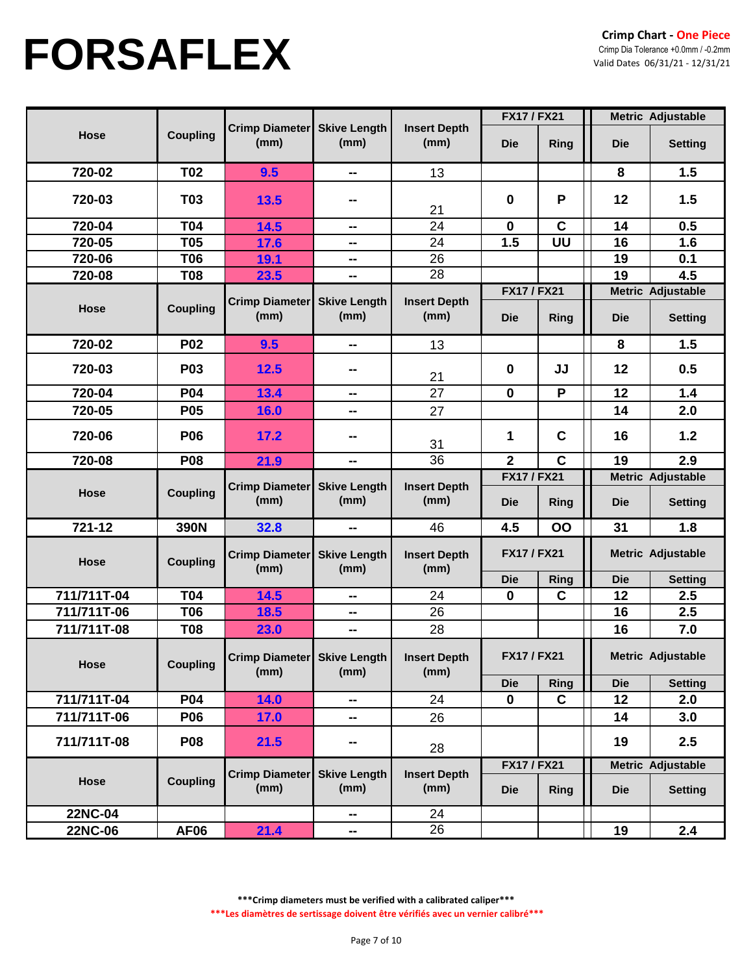|                            |                          |                                     |                             |                             | <b>FX17 / FX21</b>               |             | Metric Adjustable |                                     |  |
|----------------------------|--------------------------|-------------------------------------|-----------------------------|-----------------------------|----------------------------------|-------------|-------------------|-------------------------------------|--|
| Hose                       | <b>Coupling</b>          | <b>Crimp Diameter</b><br>(mm)       | <b>Skive Length</b><br>(mm) | <b>Insert Depth</b><br>(mm) | <b>Die</b>                       | <b>Ring</b> | <b>Die</b>        | <b>Setting</b>                      |  |
| 720-02                     | <b>T02</b>               | 9.5                                 | $\sim$                      | 13                          |                                  |             | 8                 | 1.5                                 |  |
| 720-03                     | <b>T03</b>               | <b>13.5</b>                         |                             | 21                          | $\mathbf 0$                      | P           | 12                | 1.5                                 |  |
| 720-04                     | <b>T04</b>               | 14.5                                | --                          | 24                          | $\mathbf 0$                      | $\mathbf c$ | 14                | 0.5                                 |  |
| 720-05                     | <b>T05</b>               | 17.6                                | --                          | 24                          | 1.5                              | UU          | 16                | 1.6                                 |  |
| 720-06                     | <b>T06</b>               | 19.1                                | --                          | 26                          |                                  |             | 19                | 0.1                                 |  |
| 720-08                     | <b>T08</b>               | 23.5                                | --                          | 28                          |                                  |             | 19                | 4.5                                 |  |
| Hose                       | <b>Coupling</b>          | <b>Crimp Diameter</b><br>(mm)       | <b>Skive Length</b><br>(mm) | <b>Insert Depth</b><br>(mm) | <b>FX17 / FX21</b><br><b>Die</b> | <b>Ring</b> | <b>Die</b>        | Metric Adjustable<br><b>Setting</b> |  |
| 720-02                     | <b>P02</b>               | 9.5                                 | --                          | 13                          |                                  |             | 8                 | 1.5                                 |  |
| 720-03                     | P03                      | 12.5                                | --                          | 21                          | $\mathbf 0$                      | JJ          | 12                | 0.5                                 |  |
| 720-04                     | P04                      | 13.4                                | --                          | 27                          | $\mathbf 0$                      | P           | 12                | 1.4                                 |  |
| 720-05                     | P05                      | 16.0                                | --                          | 27                          |                                  |             | 14                | 2.0                                 |  |
| 720-06                     | P06                      | 17.2                                |                             | 31                          | $\blacktriangleleft$             | C           | 16                | 1.2                                 |  |
| 720-08                     | <b>P08</b>               | 21.9                                | --                          | $\overline{36}$             | $\overline{2}$                   | C           | 19                | 2.9                                 |  |
| Hose                       | <b>Coupling</b>          | <b>Crimp Diameter</b><br>(mm)       | <b>Skive Length</b><br>(mm) | <b>Insert Depth</b><br>(mm) | <b>FX17 / FX21</b><br><b>Die</b> | <b>Ring</b> | <b>Die</b>        | Metric Adjustable<br><b>Setting</b> |  |
| 721-12                     | 390N                     | 32.8                                | --                          | 46                          | 4.5                              | OO          | 31                | 1.8                                 |  |
| Hose                       | <b>Coupling</b>          | <b>Crimp Diameter</b><br>(mm)       | <b>Skive Length</b><br>(mm) | <b>Insert Depth</b><br>(mm) | <b>FX17 / FX21</b>               |             | Metric Adjustable |                                     |  |
|                            |                          |                                     |                             |                             | <b>Die</b>                       | Ring        | <b>Die</b>        | <b>Setting</b>                      |  |
| 711/711T-04<br>711/711T-06 | <b>T04</b><br><b>T06</b> | 14.5                                | --                          | 24<br>26                    | $\mathbf 0$                      | $\mathbf C$ | 12                | 2.5<br>2.5                          |  |
| 711/711T-08                | <b>T08</b>               | 18.5<br>23.0                        | --<br>н.                    | 28                          |                                  |             | 16<br>16          | 7.0                                 |  |
| Hose                       | <b>Coupling</b>          | Crimp Diameter Skive Length<br>(mm) | (mm)                        | <b>Insert Depth</b><br>(mm) | <b>FX17 / FX21</b>               |             |                   | Metric Adjustable                   |  |
|                            |                          |                                     |                             |                             | <b>Die</b>                       | Ring        | <b>Die</b>        | <b>Setting</b>                      |  |
| 711/711T-04                | <b>P04</b>               | 14.0                                | ⊷                           | 24                          | $\mathbf 0$                      | C           | 12                | 2.0                                 |  |
| 711/711T-06                | <b>P06</b>               | 17.0                                | -−                          | 26                          |                                  |             | 14                | 3.0                                 |  |
| 711/711T-08                | <b>P08</b>               | 21.5                                | н.                          | 28                          |                                  |             | 19                | 2.5                                 |  |
|                            |                          | <b>Crimp Diameter</b>               | <b>Skive Length</b>         | <b>Insert Depth</b>         | <b>FX17 / FX21</b>               |             |                   | Metric Adjustable                   |  |
| Hose                       | <b>Coupling</b>          | (mm)                                | (mm)                        | (mm)                        | <b>Die</b>                       | <b>Ring</b> | <b>Die</b>        | <b>Setting</b>                      |  |
| 22NC-04                    |                          |                                     | −−                          | 24                          |                                  |             |                   |                                     |  |
| 22NC-06                    | <b>AF06</b>              | 21.4                                | н.                          | 26                          |                                  |             | 19                | 2.4                                 |  |

**\*\*\*Crimp diameters must be verified with a calibrated caliper\*\*\***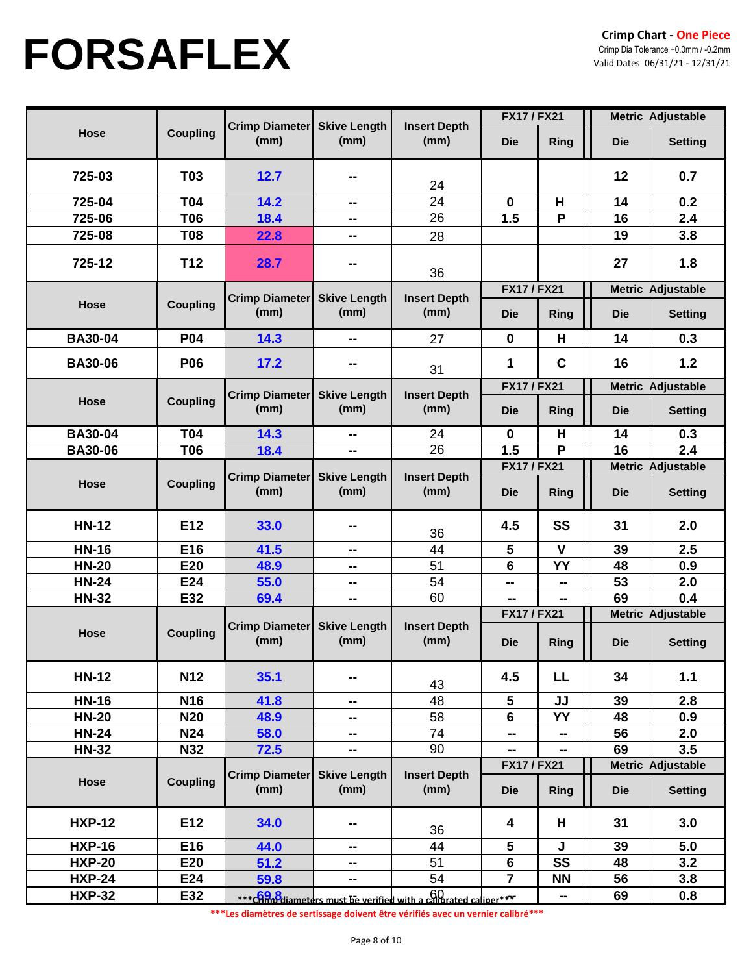|                |                 |                               |                             |                                                                  | <b>FX17 / FX21</b> |             |            | Metric Adjustable        |
|----------------|-----------------|-------------------------------|-----------------------------|------------------------------------------------------------------|--------------------|-------------|------------|--------------------------|
| <b>Hose</b>    | <b>Coupling</b> | <b>Crimp Diameter</b><br>(mm) | <b>Skive Length</b><br>(mm) | <b>Insert Depth</b><br>(mm)                                      | <b>Die</b>         | Ring        | <b>Die</b> | <b>Setting</b>           |
| 725-03         | <b>T03</b>      | 12.7                          | --                          | 24                                                               |                    |             | 12         | 0.7                      |
| 725-04         | <b>T04</b>      | 14.2                          | --                          | 24                                                               | $\mathbf 0$        | H           | 14         | 0.2                      |
| 725-06         | <b>T06</b>      | 18.4                          | $\sim$                      | 26                                                               | 1.5                | P           | 16         | 2.4                      |
| 725-08         | <b>T08</b>      | 22.8                          | --                          | 28                                                               |                    |             | 19         | 3.8                      |
| 725-12         | T <sub>12</sub> | 28.7                          | --                          | 36                                                               |                    |             | 27         | 1.8                      |
|                |                 | <b>Crimp Diameter</b>         | <b>Skive Length</b>         | <b>Insert Depth</b>                                              | <b>FX17 / FX21</b> |             |            | <b>Metric Adjustable</b> |
| Hose           | <b>Coupling</b> | (mm)                          | (mm)                        | (mm)                                                             | <b>Die</b>         | <b>Ring</b> | <b>Die</b> | <b>Setting</b>           |
| <b>BA30-04</b> | <b>P04</b>      | 14.3                          | --                          | 27                                                               | $\mathbf 0$        | H           | 14         | 0.3                      |
| <b>BA30-06</b> | <b>P06</b>      | 17.2                          | --                          | 31                                                               | 1                  | $\mathbf c$ | 16         | 1.2                      |
|                |                 |                               |                             |                                                                  | <b>FX17 / FX21</b> |             |            | <b>Metric Adjustable</b> |
| Hose           | <b>Coupling</b> | <b>Crimp Diameter</b><br>(mm) | <b>Skive Length</b><br>(mm) | <b>Insert Depth</b><br>(mm)                                      | <b>Die</b>         | Ring        | <b>Die</b> | <b>Setting</b>           |
| <b>BA30-04</b> | <b>T04</b>      | 14.3                          | --                          | 24                                                               | $\bf{0}$           | H           | 14         | 0.3                      |
| <b>BA30-06</b> | <b>T06</b>      | 18.4                          | --                          | 26                                                               | 1.5                | P           | 16         | 2.4                      |
|                |                 |                               |                             |                                                                  | <b>FX17 / FX21</b> |             |            | Metric Adjustable        |
| <b>Hose</b>    | <b>Coupling</b> | <b>Crimp Diameter</b><br>(mm) | <b>Skive Length</b><br>(mm) | <b>Insert Depth</b><br>(mm)                                      | <b>Die</b>         | Ring        | <b>Die</b> | <b>Setting</b>           |
| <b>HN-12</b>   | E12             | 33.0                          | --                          | 36                                                               | 4.5                | SS          | 31         | 2.0                      |
| <b>HN-16</b>   | E16             | 41.5                          | $\sim$                      | 44                                                               | 5                  | $\mathbf v$ | 39         | 2.5                      |
| <b>HN-20</b>   | E20             | 48.9                          | --                          | 51                                                               | 6                  | YY          | 48         | 0.9                      |
| <b>HN-24</b>   | E24             | 55.0                          | $\sim$ $\sim$               | 54                                                               | --                 | --          | 53         | 2.0                      |
| <b>HN-32</b>   | E32             | 69.4                          | --                          | 60                                                               | --                 |             | 69         | 0.4                      |
|                |                 |                               |                             |                                                                  | <b>FX17 / FX21</b> |             |            | <b>Metric Adjustable</b> |
| <b>Hose</b>    | <b>Coupling</b> | Crimp Diameter<br>(mm)        | <b>Skive Length</b><br>(mm) | <b>Insert Depth</b><br>(mm)                                      | <b>Die</b>         | Ring        | <b>Die</b> | <b>Setting</b>           |
| <b>HN-12</b>   | <b>N12</b>      | 35.1                          | --                          | 43                                                               | 4.5                | LL.         | 34         | 1.1                      |
| <b>HN-16</b>   | N <sub>16</sub> | 41.8                          | --                          | 48                                                               | 5                  | JJ          | 39         | 2.8                      |
| <b>HN-20</b>   | <b>N20</b>      | 48.9                          | --                          | 58                                                               | 6                  | YY          | 48         | 0.9                      |
| <b>HN-24</b>   | <b>N24</b>      | 58.0                          | --                          | 74                                                               | ⊷                  | --          | 56         | 2.0                      |
| <b>HN-32</b>   | N32             | 72.5                          | $\sim$                      | 90                                                               | ⊷                  | --          | 69         | 3.5                      |
|                |                 | Crimp Diameter                | <b>Skive Length</b>         | <b>Insert Depth</b>                                              | <b>FX17 / FX21</b> |             |            | Metric Adjustable        |
| Hose           | <b>Coupling</b> | (mm)                          | (mm)                        | (mm)                                                             | <b>Die</b>         | <b>Ring</b> | <b>Die</b> | <b>Setting</b>           |
| <b>HXP-12</b>  | E12             | 34.0                          | --                          | 36                                                               | 4                  | H           | 31         | 3.0                      |
| <b>HXP-16</b>  | E16             | 44.0                          | --                          | 44                                                               | 5                  | J           | 39         | 5.0                      |
| <b>HXP-20</b>  | E20             | 51.2                          | --                          | 51                                                               | 6                  | SS          | 48         | 3.2                      |
| <b>HXP-24</b>  | E24             | 59.8                          | --                          | 54                                                               | $\overline{7}$     | <b>NN</b>   | 56         | 3.8                      |
| <b>HXP-32</b>  | E32             |                               |                             | *** Compliameters must be verified with a calibrated caliper *** |                    | ⊷           | 69         | 0.8                      |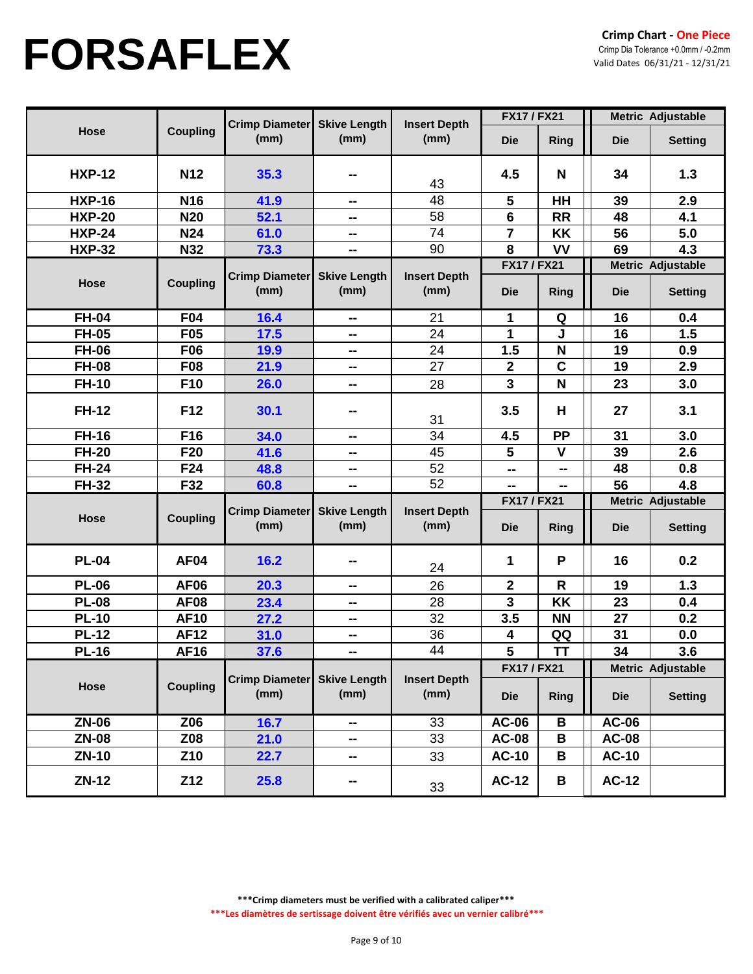|               |                 |                               |                             |                             | <b>FX17 / FX21</b>               |              | Metric Adjustable |                                     |
|---------------|-----------------|-------------------------------|-----------------------------|-----------------------------|----------------------------------|--------------|-------------------|-------------------------------------|
| Hose          | <b>Coupling</b> | Crimp Diameter<br>(mm)        | <b>Skive Length</b><br>(mm) | <b>Insert Depth</b><br>(mm) | <b>Die</b>                       | Ring         | <b>Die</b>        | <b>Setting</b>                      |
| <b>HXP-12</b> | N <sub>12</sub> | 35.3                          | --                          | 43                          | 4.5                              | N            | 34                | 1.3                                 |
| <b>HXP-16</b> | <b>N16</b>      | 41.9                          | $\sim$                      | 48                          | 5                                | HH           | 39                | 2.9                                 |
| <b>HXP-20</b> | <b>N20</b>      | 52.1                          | --                          | 58                          | $6\phantom{a}$                   | <b>RR</b>    | 48                | 4.1                                 |
| <b>HXP-24</b> | <b>N24</b>      | 61.0                          | ⊷                           | 74                          | $\overline{7}$                   | KK           | 56                | 5.0                                 |
| <b>HXP-32</b> | N32             | 73.3                          | --                          | 90                          | 8                                | VV           | 69                | 4.3                                 |
| Hose          | <b>Coupling</b> | <b>Crimp Diameter</b><br>(mm) | <b>Skive Length</b><br>(mm) | <b>Insert Depth</b><br>(mm) | <b>FX17 / FX21</b><br><b>Die</b> | Ring         | <b>Die</b>        | Metric Adjustable<br><b>Setting</b> |
| <b>FH-04</b>  | F04             | 16.4                          | ⊷                           | 21                          | 1                                | Q            | 16                | 0.4                                 |
| <b>FH-05</b>  | F <sub>05</sub> | 17.5                          | ⊷                           | 24                          | 1                                | J            | 16                | 1.5                                 |
| <b>FH-06</b>  | <b>F06</b>      | 19.9                          | н.                          | 24                          | 1.5                              | N            | 19                | 0.9                                 |
| <b>FH-08</b>  | <b>F08</b>      | 21.9                          | --                          | 27                          | $\boldsymbol{2}$                 | $\mathbf C$  | 19                | 2.9                                 |
| <b>FH-10</b>  | F10             | 26.0                          | --                          | 28                          | $\overline{\mathbf{3}}$          | $\mathbf N$  | 23                | 3.0                                 |
| <b>FH-12</b>  | F12             | 30.1                          | --                          | 31                          | 3.5                              | H            | 27                | 3.1                                 |
| <b>FH-16</b>  | F16             | 34.0                          | ⊷                           | 34                          | 4.5                              | <b>PP</b>    | 31                | 3.0                                 |
| <b>FH-20</b>  | F20             | 41.6                          | ⊷                           | 45                          | 5                                | $\mathbf v$  | 39                | 2.6                                 |
| <b>FH-24</b>  | F <sub>24</sub> | 48.8                          | --                          | 52                          | --                               | --           | 48                | 0.8                                 |
| <b>FH-32</b>  | F32             | 60.8                          | н.                          | $\overline{52}$             | --                               | --           | 56                | 4.8                                 |
|               |                 |                               | <b>Skive Length</b><br>(mm) |                             | <b>FX17 / FX21</b>               |              |                   | Metric Adjustable                   |
| Hose          | <b>Coupling</b> | <b>Crimp Diameter</b><br>(mm) |                             | <b>Insert Depth</b><br>(mm) | <b>Die</b>                       | Ring         | <b>Die</b>        | <b>Setting</b>                      |
| <b>PL-04</b>  | <b>AF04</b>     | 16.2                          | --                          | 24                          | 1                                | P            | 16                | 0.2                                 |
| <b>PL-06</b>  | <b>AF06</b>     | 20.3                          | --                          | 26                          | $\boldsymbol{2}$                 | $\mathsf{R}$ | 19                | 1.3                                 |
| <b>PL-08</b>  | <b>AF08</b>     | 23.4                          | ⊷                           | 28                          | $\mathbf{3}$                     | <b>KK</b>    | 23                | 0.4                                 |
| <b>PL-10</b>  | <b>AF10</b>     | 27.2                          | --                          | 32                          | 3.5                              | <b>NN</b>    | 27                | 0.2                                 |
| <b>PL-12</b>  | <b>AF12</b>     | 31.0                          | н.                          | 36                          | 4                                | QQ           | 31                | 0.0                                 |
| <b>PL-16</b>  | <b>AF16</b>     | 37.6                          | н.                          | $\overline{44}$             | 5                                | <b>TT</b>    | 34                | 3.6                                 |
|               |                 |                               |                             |                             | <b>FX17 / FX21</b>               |              |                   | Metric Adjustable                   |
| Hose          | <b>Coupling</b> | <b>Crimp Diameter</b><br>(mm) | <b>Skive Length</b><br>(mm) | <b>Insert Depth</b><br>(mm) | <b>Die</b>                       | Ring         | <b>Die</b>        | <b>Setting</b>                      |
| <b>ZN-06</b>  | Z06             | 16.7                          | --                          | 33                          | <b>AC-06</b>                     | B            | <b>AC-06</b>      |                                     |
| <b>ZN-08</b>  | Z08             | 21.0                          | ⊷                           | 33                          | <b>AC-08</b>                     | $\, {\bf B}$ | <b>AC-08</b>      |                                     |
| <b>ZN-10</b>  | Z <sub>10</sub> | 22.7                          | --                          | 33                          | <b>AC-10</b>                     | B            | <b>AC-10</b>      |                                     |
| <b>ZN-12</b>  | Z12             | 25.8                          | н.                          | 33                          | <b>AC-12</b>                     | В            | <b>AC-12</b>      |                                     |

**\*\*\*Crimp diameters must be verified with a calibrated caliper\*\*\***